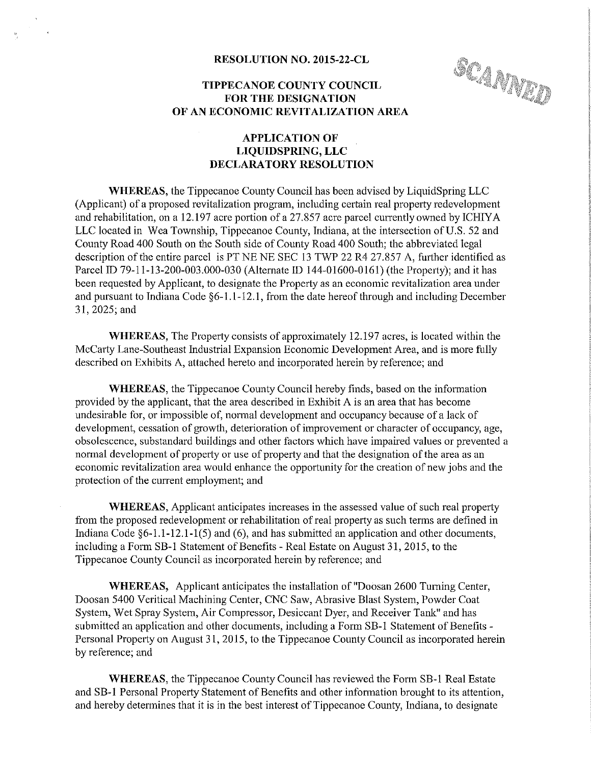# TIPPECANOE COUNTY COUNCIL FOR THE DESIGNATION RESULUTION<br>
TIPPECANOE COUNTY COUNCIL<br>
FOR THE DESIGNATION<br>
OF AN ECONOMIC REVITALIZATION AREA

#### APPLICATION OF LIQUIDSPRING, LLC DECLARATORY RESOLUTION

WHEREAS, the Tippecanoe County Council has been advised by LiquidSpring LLC (Applicant) of <sup>a</sup> proposed revitalization program, including certain real property redevelopment and rehabilitation, on <sup>a</sup> 12.197 acre portion of <sup>a</sup> 27.857 acre parcel currently owned by ICHIYA LLC located in Wea Township, Tippecanoe County, Indiana, at the intersection of US. 52 and County Road 400 South on the South side of County Road 400 South; the abbreviated legal description of the entire parcel is PT NE NE SEC 13 TWP 22 R4 27.857 A, further identified as Parcel ID 79-11-13-200-003.000-030 (Alternate ID 144-01600-0161) (the Property); and it has been requested by Applicant, to designate the Property as an economic revitalization area under and pursuant to Indiana Code §6~1.1-12.1, from the date hereof through and including December 31, 2025; and

WHEREAS, The Property consists of approximately 12.197 acres, is located within the McCarty Lane—Southeast Industrial Expansion Economic Development Area, and is more fully described on Exhibits A, attached hereto and incorporated herein by reference; and

WHEREAS, the Tippecanoe County Council hereby finds, based on the information provided by the applicant, that the area described in Exhibit A is an area that has become undesirable for, or impossible of, normal development and occupancy because of <sup>a</sup> lack of development, cessation of growth, deterioration of improvement or character of occupancy, age, obsolescence, substandard buildings and other factors which have impaired values or prevented <sup>a</sup> normal development of property or use of property and that the designation of the area as an economic revitalization area would enhance the opportunity for the creation of new jobs and the protection of the current employment; and

WHEREAS, Applicant anticipates increases in the assessed value of such real property from the proposed redevelopment or rehabilitation of real property as such terms are defined in Indiana Code §6-1.1-12.1-1(5) and (6), and has submitted an application and other documents, including a Form SB-1 Statement of Benefits - Real Estate on August 31, 2015, to the Tippecanoe County Council as incorporated herein by reference; and

WHEREAS, Applicant anticipates the installation of "Docsan 2600 Turning Center, Doosan 5400 Veritical Machining Center, CNC Saw, Abrasive Blast System, Powder Coat System, Wet Spray System, Air Compressor, Desiccant Dyer, and Receiver Tank" and has submitted an application and other documents, including a Form SB-1 Statement of Benefits -Personal Property on August 31, 2015, to the Tippecanoe County Council as incorporated herein by reference; and

WHEREAS, the Tippecanoe County Council has reviewed the Form SB-1 Real Estate and SB-1 Personal Property Statement of Benefits and other information brought to its attention, and hereby determines that it is in the best interest of Tippecanoe County, Indiana, to designate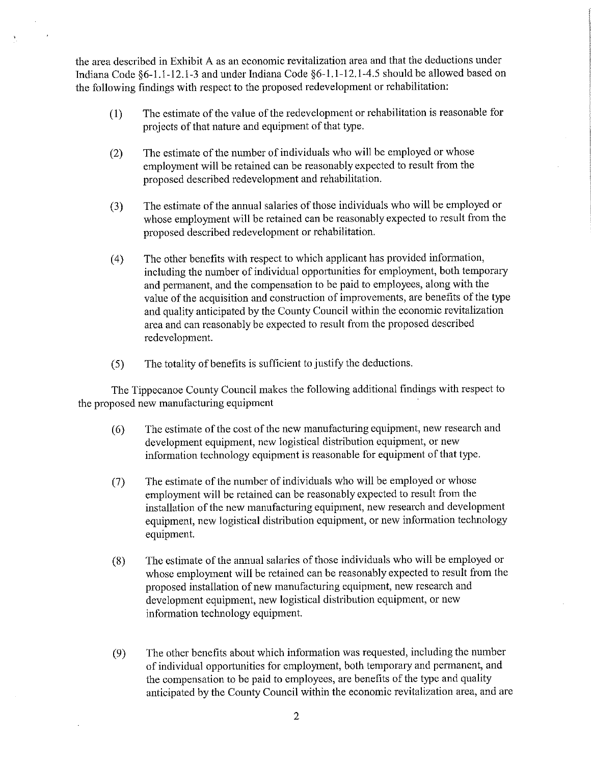the area described in Exhibit A as an economic revitalization area and that the deductions under Indiana Code §6—1.1-12.l~3 and under Indiana Code §6-l.l—12.l-4.5 should be allowed based on the following findings with respect to the proposed redevelopment or rehabilitation:

- (1) The estimate of the value of the redevelopment or rehabilitation is reasonable for projects of that nature and equipment of that type.
- (2) The estimate of the number of individuals who will be employed or whose employment will be retained can be reasonably expected to result from the proposed described redevelopment and rehabilitation
- (3) The estimate of the annual salaries of those individuals who will be employed or whose employment will be retained can be reasonably expected to result from the proposed described redevelopment or rehabilitation.
- (4) The other benefits with respect to which applicant has provided information, including the number of individual opportunities for employment, both temporary and permanent, and the compensation to be paid to employees, along with the value of the acquisition and construction of improvements, are benefits of the type and quality anticipated by the County Council within the economic revitalization area and can reasonably be expected to result from the proposed described redevelopment.
- (5) The. totality of benefits is sufficient to justify the deductions.

The Tippecanoe County Council makes the following additional findings with respect to the proposed new manufacturing equipment '

- (6) The estimate of the cost of the new manufacturing equipment, new research and development equipment, new logistical distribution equipment, or new information technology equipment is reasonable for equipment of that type.
- (7) The estimate of the number of individuals who will be employed or whose employment will be retained can be reasonably expected to result from the installation of the new manufacturing equipment, new research and development equipment, new logistical distribution equipment, or new information technology equipment.
- (8) The estimate of the annual salaries of those individuals who will be employed or whose employment will be retained can be reasonably expected to result from the proposed installation of new manufacturing equipment, new research and development equipment, new logistical distribution equipment, or new information technology equipment.
- (9) The other benefits about which information was requested, including the number of individual opportunities for employment, both temporary and permanent, and the compensation to be paid to employees, are benefits of the type and quality anticipated by the County Council within the economic revitalization area, and are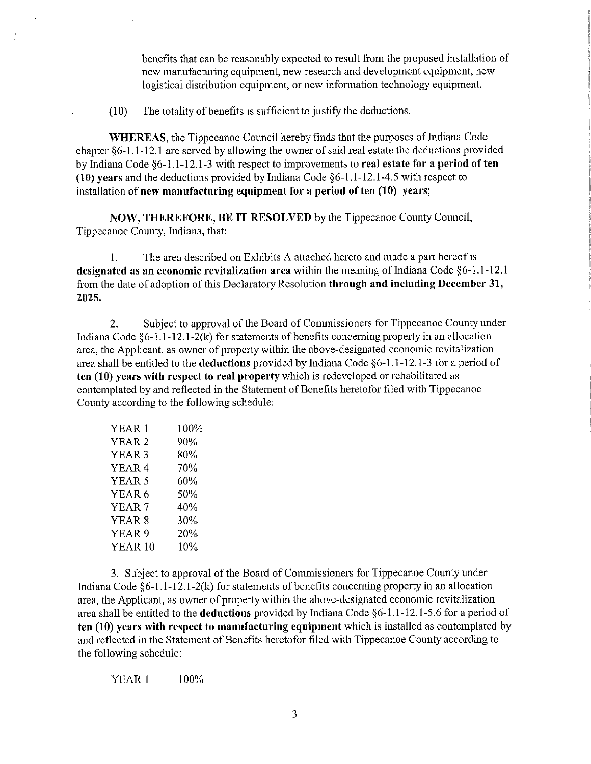benefits that can be reasonably expected to result from the proposed installation of new manufacturing equipment, new research and development equipment, new logistical distribution equipment, or new information technology equipment.

(10) The totality of benefits is sufficient to justify the deductions.

WHEREAS, the Tippecanoe Council hereby finds that the purposes of Indiana Code chapter §6-1.1-12.1 are served by allowing the owner of said real estate the deductions provided by Indiana Code §6-1.1-12.1-3 with respect to improvements to real estate for a period of ten (10) years and the deductions provided by Indiana Code §6—l.l-12.1—4.5 with respect to installation of new manufacturing equipment for <sup>a</sup> period of ten (10) years;

NOW, THEREFORE, BE IT RESOLVED by the Tippecanoe County Council, Tippecanoe County, Indiana, that:

l. The area described on Exhibits A attached hereto and made <sup>a</sup> part hereof is designated as an economic revitalization area within the meaning of Indiana Code §6-l.1—12.l from the date of adoption of this Declaratory Resolution through and including December 31, 2025.

2. Subject to approval of the Board of Commissioners for Tippecanoe County under Indiana Code  $\S6-1.1-12.1-2(k)$  for statements of benefits concerning property in an allocation area, the Applicant, as owner of property within the above-designated economic revitalization area shall be entitled to the **deductions** provided by Indiana Code  $§6-1.1-12.1-3$  for a period of ten (10) years with respect to real property which is redeveloped or rehabilitated as contemplated by and reflected in the Statement of Benefits heretofor filed with Tippecanoe County according to the following schedule:

| YEAR 1  | 100% |
|---------|------|
| YEAR 2  | 90%  |
| YEAR 3  | 80%  |
| YEAR 4  | 70%  |
| YEAR 5  | 60%  |
| YEAR 6  | 50%  |
| YEAR 7  | 40%  |
| YEAR 8  | 30%  |
| YEAR 9  | 20%  |
| YEAR 10 | 10%  |
|         |      |

 $\frac{1}{2}$  .

3. Subject to approval of the Board of Commissioners for Tippecanoe County under Indiana Code  $\S6-1.1-12.1-2(k)$  for statements of benefits concerning property in an allocation area, the Applicant, as owner of property within the above-designated economic revitalization area shall be entitled to the deductions provided by Indiana Code §6—1.1—l2.l—5.6 for <sup>a</sup> period of ten (10) years with respect to manufacturing equipment which is installed as contemplated by and reflected in the Statement of Benefits heretofor filed with Tippecanoe County according to the following schedule:

YEAR 1 100%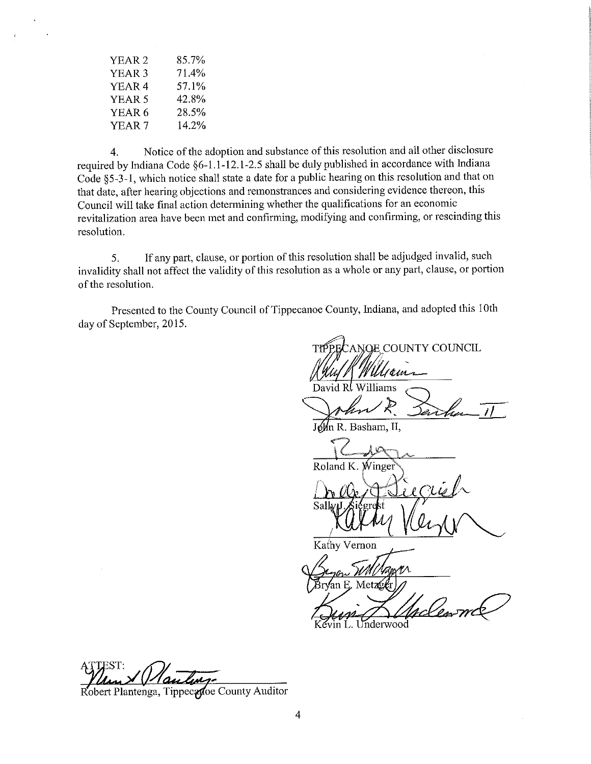| YEAR 2            | 85.7% |  |
|-------------------|-------|--|
| YEAR <sub>3</sub> | 71.4% |  |
| YEAR <sub>4</sub> | 57.1% |  |
| YEAR 5            | 42.8% |  |
| YEAR <sub>6</sub> | 28.5% |  |
| YEAR <sub>7</sub> | 14.2% |  |

4. Notice of the adoption and substance of this resolution and all other disclosure required by Indiana Code §6—l.l-12.1-2.5 shall be duly published in accordance with Indiana Code §5—3-l, which notice shall state <sup>a</sup> date for <sup>a</sup> public hearing on this resolution and that on that date, after hearing objections and remonstrances and considering evidence thereon, this Council will take final action determining whether the qualifications for an economic revitalization area have been met and confirming, modifying and confirming, or rescinding this resolution.

5. If any part, clause, or portion of this resolution shall be adjudged invalid, such invalidity shall not affect the validity of this resolution as <sup>a</sup> whole or any part, clause, or portion of the resolution.

Presented to the County Council of Tippecanoe County, Indiana, and adopted this 10th day of September, 2015.

.a—Q ANQE COUNTY COUNCIL  $\frac{1}{2}$  .  $\sim$ 'Utjem David R. Williams John & Sant n R. Basham, II.  $C = \sqrt{2\pi}$ . Roland K,  $\hat{W}$ inge Sэ Kathy Vernon Underwood

TTEST: 7

Robert Plantenga, Tippecadoe County Auditor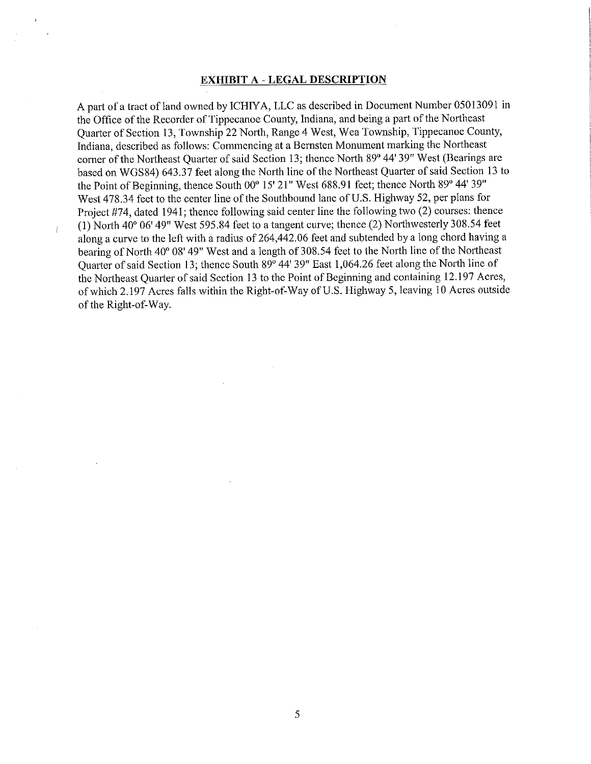#### EXHIBIT A - LEGAL DESCRIPTION

A part of a tract of land owned by ICHIYA, LLC as described in Document Number 05013091 in the Office of the Recorder of Tippecanoe County, Indiana, and being <sup>a</sup> part of the Northeast Quarter of Section 13, Township <sup>22</sup> North, Range <sup>4</sup> West, Wea Township, Tippecanoe County, Indiana, described as follows: Commencing at <sup>a</sup> Bernsten Monument marking the Northeast corner of the Northeast Quarter of said Section 13; thence North 89° 44' 39" West (Bearings are based on WGS84) 643.37 feet along the North line of the Northeast Quarter of said Section <sup>13</sup> to the Point of Beginning, thence South 00° 15' 21" West 688.91 feet; thence North 89° 44' 39" West 478.34 feet to the center line of the Southbound lane of U.S. Highway 52, per plans for Project #74, dated 1941; thence following said center line the following two (2) courses: thence (1) North 40" 06' 49" West 595.84 feet to <sup>a</sup> tangent curve; thence (2) Northwesterly 308.54 feet along <sup>a</sup> curve to the left with <sup>a</sup> radius of 264,442.06 feet and subtended by <sup>a</sup> long chord having <sup>a</sup> bearing of North 40° 08' 49" West and a length of 308.54 feet to the North line of the Northeast Quarter of said Section 13; thence South 89" 44' 39" East 1,064.26 feetalong the North line of the Northeast Quarter of said Section 13 to the Point of Beginning and containing 12.197 Acres, of which 2.197 Acres falls within the Right-of-Way of U.S. Highway 5, leaving 10 Acres outside of the Right-of-Way.

 $\mathbf{r}$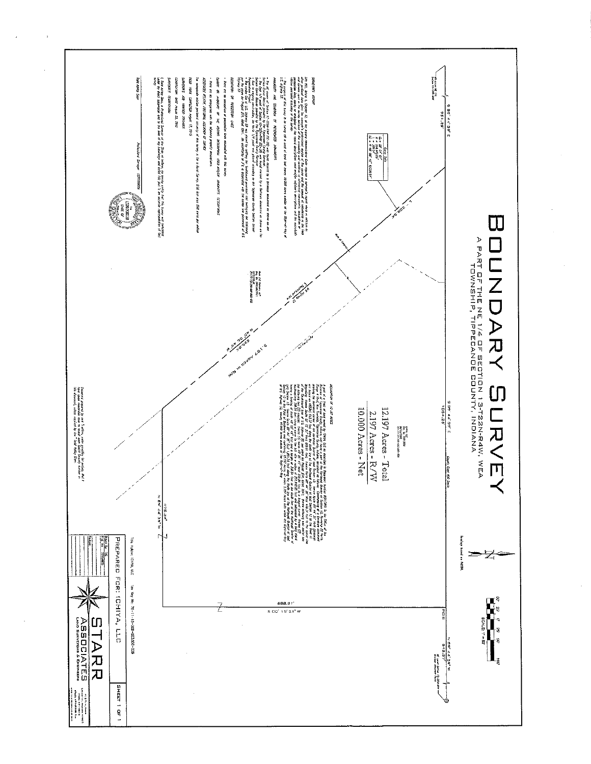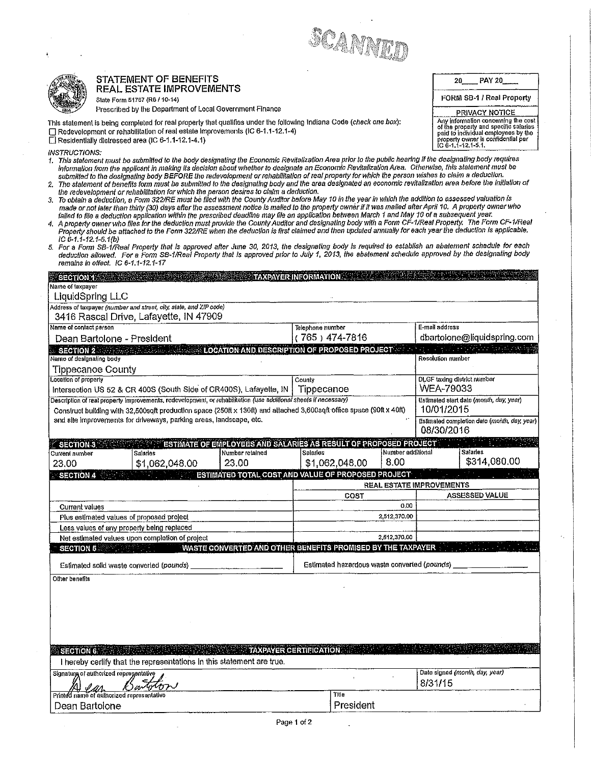



# STATEMENT OF BENEFITS  $\begin{array}{|c|c|c|c|c|}\hline 20&\text{PAY }20&\text{PAY }20\hline \end{array}$

- i. This statement must be submitted to the body'designating the Economic Revitaiization Area prior to the pubiic hearing it the designating body requires information from the applicant in making its decision about whether to designate an Economic Revitalization Area. Otherwise, this statement must be submitted to the designating body BEFORE the redevetopment orrehabititation ofrest property for which the person wishes to ciaim <sup>a</sup> deduction.
- 2. The statement of benetits form must be submitted to the designating body and the area designated an economic revitatization area before the initiation of the redeveiopment or rehabititation for which the person desires to ciaim <sup>a</sup> deduction.
- 3. To obtain a deduction, a Form 322/RE must be filed with the County Auditor before May 10 in the year in which the addition to assessed valuation is made or not later than thirty (30) days after the assessment notice is mailed to the property owner if it was mailed after April 10. A property owner who
- falled to file a deduction application within the prescribed deadline may file an application between March 1 and May 10 of a subsequent year.<br>4. A property owner who files for the deduction must provide the County Audito Property should be attached to the Form 322/RE when the deduction is first claimed and then updated annually for each year the deduction is applicable.  $IC 6-1. 1-12. 1-5.1(b)$
- 5. For a Form SB-1/Real Property that is approved after June 30, 2013, the designaling body is required to establish an abatement schedule for each<br>deduction allowed. For a Form SB-1/Real Property that is approved prior t  $remains in effect.$  IC 6-1.1-12.1-17

|                                                                                                                |                                                                                                                                                                                                                                                                                                                                                                                                                                                                                                                                                                                                                                                                                                                                                                                                                                                                                                                                                                                                                                                                                                                                                                                                                                                                                                                                                                                                                                                                                                                                                                                                                                                                                                                                                                                                                                                                                                                                                                                                                              |                 | SCANNED                                                                                            |                           |                                                                                                                                                                                 |
|----------------------------------------------------------------------------------------------------------------|------------------------------------------------------------------------------------------------------------------------------------------------------------------------------------------------------------------------------------------------------------------------------------------------------------------------------------------------------------------------------------------------------------------------------------------------------------------------------------------------------------------------------------------------------------------------------------------------------------------------------------------------------------------------------------------------------------------------------------------------------------------------------------------------------------------------------------------------------------------------------------------------------------------------------------------------------------------------------------------------------------------------------------------------------------------------------------------------------------------------------------------------------------------------------------------------------------------------------------------------------------------------------------------------------------------------------------------------------------------------------------------------------------------------------------------------------------------------------------------------------------------------------------------------------------------------------------------------------------------------------------------------------------------------------------------------------------------------------------------------------------------------------------------------------------------------------------------------------------------------------------------------------------------------------------------------------------------------------------------------------------------------------|-----------------|----------------------------------------------------------------------------------------------------|---------------------------|---------------------------------------------------------------------------------------------------------------------------------------------------------------------------------|
|                                                                                                                |                                                                                                                                                                                                                                                                                                                                                                                                                                                                                                                                                                                                                                                                                                                                                                                                                                                                                                                                                                                                                                                                                                                                                                                                                                                                                                                                                                                                                                                                                                                                                                                                                                                                                                                                                                                                                                                                                                                                                                                                                              |                 |                                                                                                    |                           |                                                                                                                                                                                 |
|                                                                                                                | STATEMENT OF BENEFITS<br>REAL ESTATE IMPROVEMENTS                                                                                                                                                                                                                                                                                                                                                                                                                                                                                                                                                                                                                                                                                                                                                                                                                                                                                                                                                                                                                                                                                                                                                                                                                                                                                                                                                                                                                                                                                                                                                                                                                                                                                                                                                                                                                                                                                                                                                                            |                 |                                                                                                    |                           | <b>PAY 20</b><br>20                                                                                                                                                             |
|                                                                                                                | State Form 51767 (R6 / 10-14)                                                                                                                                                                                                                                                                                                                                                                                                                                                                                                                                                                                                                                                                                                                                                                                                                                                                                                                                                                                                                                                                                                                                                                                                                                                                                                                                                                                                                                                                                                                                                                                                                                                                                                                                                                                                                                                                                                                                                                                                |                 |                                                                                                    |                           | FORM SB-1 / Real Property                                                                                                                                                       |
|                                                                                                                | Prescribed by the Department of Local Government Finance<br>This statement is being completed for real property that qualifies under the following indiana Code (check one box):                                                                                                                                                                                                                                                                                                                                                                                                                                                                                                                                                                                                                                                                                                                                                                                                                                                                                                                                                                                                                                                                                                                                                                                                                                                                                                                                                                                                                                                                                                                                                                                                                                                                                                                                                                                                                                             |                 |                                                                                                    |                           | <b>PRIVACY NOTICE</b>                                                                                                                                                           |
| <b>INSTRUCTIONS:</b>                                                                                           | Redevelopment or rehabilitation of real estate improvements (IC 6-1.1-12.1-4)<br>El Residentially distressed area (IC 6-1.1-12.1-4.1)                                                                                                                                                                                                                                                                                                                                                                                                                                                                                                                                                                                                                                                                                                                                                                                                                                                                                                                                                                                                                                                                                                                                                                                                                                                                                                                                                                                                                                                                                                                                                                                                                                                                                                                                                                                                                                                                                        |                 |                                                                                                    |                           | Any information concerning the cost<br>of the property and specific salaries<br>paid to individual employees by the<br>property owner is confidential per<br>IC 6-1.1-12.1-5.1. |
| $IC 6-1.1-12.1-6.1(b)$<br>$S$ <b>ECTIONT</b><br>Name of laxpayer<br>LiquidSpring LLC<br>Name of contact person | 1. This statement must be submitted to the body designating the Economic Revitalization Area prior to the public hearing if the designating body requires<br>information from the applicant in making its decision about whether to designate an Economic Revitalization Area. Otherwise, this statement must be<br>submitted to the designating body BEFORE the redevelopment or renabilitation of real property for which the person wishes to claim a deduction.<br>2. The statement of benefits form must be submitted to the designating body and the area designated an economic revitalization area before the initiation of<br>the redevelopment or rehabilitation for which the person desires to claim a deduction.<br>3. To obtain a deduction, a Form 322/RE must be filed with the County Auditor before May 10 in the year in which the addition to assessed valuation is<br>made or not later than thirty (30) days after the assessment notice is mailed to the property owner if it was mailed after April 10. A property owner who<br>falled to file a deduction application within the prescribed deadline may file an application between March 1 and May 10 of a subsequent year.<br>4. A property owner who files for the deduction must provide the County Auditor and designating body with a Form CF-1/Real Property. The Form CF-1/Real<br>Property should be attached to the Form 322/RE when the deduction is first claimed and then updated annually for each year the deduction is applicable.<br>5. For a Form SB-1/Real Property that is approved after June 30, 2013, the designating body is required to establish an abatement schedule for each<br>deduction allowed. For a Form SB-1/Real Property that is approved prior to July 1, 2013, the abatement schedule approved by the designating body<br>remains in effect. IC 6-1.1-12.1-17<br>Address of taxpayer (number and street, city, state, and ZIP code)<br>3416 Rascal Drive, Lafayette, IN 47909<br>Dean Bartolone - President |                 | <b>TAXPAYER INFORMATION AND RESERVE TAXPAYER INFORMATION</b><br>Telephone number<br>(765) 474-7816 |                           | E-mail address<br>dbartolone@liquidspring.com                                                                                                                                   |
| $\sim$ SECTION 2 $\sim$ . $\sim$                                                                               |                                                                                                                                                                                                                                                                                                                                                                                                                                                                                                                                                                                                                                                                                                                                                                                                                                                                                                                                                                                                                                                                                                                                                                                                                                                                                                                                                                                                                                                                                                                                                                                                                                                                                                                                                                                                                                                                                                                                                                                                                              |                 |                                                                                                    |                           | <b>LOCATION AND DESCRIPTION OF PROPOSED PROJECT WELL ASSESSED FOR A SECTION AND DESCRIPTION OF PROPOSED PROJECT</b>                                                             |
| Name of designating body                                                                                       |                                                                                                                                                                                                                                                                                                                                                                                                                                                                                                                                                                                                                                                                                                                                                                                                                                                                                                                                                                                                                                                                                                                                                                                                                                                                                                                                                                                                                                                                                                                                                                                                                                                                                                                                                                                                                                                                                                                                                                                                                              |                 |                                                                                                    |                           | Resolution number                                                                                                                                                               |
|                                                                                                                | <b>Tippecanoe County</b>                                                                                                                                                                                                                                                                                                                                                                                                                                                                                                                                                                                                                                                                                                                                                                                                                                                                                                                                                                                                                                                                                                                                                                                                                                                                                                                                                                                                                                                                                                                                                                                                                                                                                                                                                                                                                                                                                                                                                                                                     |                 |                                                                                                    |                           | DLGF taxing district number                                                                                                                                                     |
|                                                                                                                |                                                                                                                                                                                                                                                                                                                                                                                                                                                                                                                                                                                                                                                                                                                                                                                                                                                                                                                                                                                                                                                                                                                                                                                                                                                                                                                                                                                                                                                                                                                                                                                                                                                                                                                                                                                                                                                                                                                                                                                                                              |                 |                                                                                                    |                           |                                                                                                                                                                                 |
| Location of property                                                                                           | Intersection US 52 & CR 400S (South Side of CR400S), Lafayette, IN                                                                                                                                                                                                                                                                                                                                                                                                                                                                                                                                                                                                                                                                                                                                                                                                                                                                                                                                                                                                                                                                                                                                                                                                                                                                                                                                                                                                                                                                                                                                                                                                                                                                                                                                                                                                                                                                                                                                                           |                 | County<br>Tippecanoe                                                                               |                           | WEA-79033                                                                                                                                                                       |
|                                                                                                                | Description of real property improvements, redevelopment, or rehabilitation (use additional sheets if necessary)                                                                                                                                                                                                                                                                                                                                                                                                                                                                                                                                                                                                                                                                                                                                                                                                                                                                                                                                                                                                                                                                                                                                                                                                                                                                                                                                                                                                                                                                                                                                                                                                                                                                                                                                                                                                                                                                                                             |                 |                                                                                                    |                           | Estimated start date (month, day, year)<br>10/01/2015                                                                                                                           |
|                                                                                                                | Construct building with 32,500sqft production space (250ft x 130ft) and attached 3,600sqft office space (90ft x 40ft)<br>and site improvements for driveways, parking areas, landscape, etc.                                                                                                                                                                                                                                                                                                                                                                                                                                                                                                                                                                                                                                                                                                                                                                                                                                                                                                                                                                                                                                                                                                                                                                                                                                                                                                                                                                                                                                                                                                                                                                                                                                                                                                                                                                                                                                 |                 |                                                                                                    |                           | Estimated completion date (month, day, year)<br>08/30/2016                                                                                                                      |
| $\le$ SECTION 3 $\le$ 3                                                                                        | <b>ESTIMATE OF EMPLOYEES AND SALARIES AS RESULT OF PROPOSED PROJECT</b>                                                                                                                                                                                                                                                                                                                                                                                                                                                                                                                                                                                                                                                                                                                                                                                                                                                                                                                                                                                                                                                                                                                                                                                                                                                                                                                                                                                                                                                                                                                                                                                                                                                                                                                                                                                                                                                                                                                                                      |                 |                                                                                                    |                           |                                                                                                                                                                                 |
| Current number<br>23,00                                                                                        | Salaries<br>23.00<br>\$1,062,048.00                                                                                                                                                                                                                                                                                                                                                                                                                                                                                                                                                                                                                                                                                                                                                                                                                                                                                                                                                                                                                                                                                                                                                                                                                                                                                                                                                                                                                                                                                                                                                                                                                                                                                                                                                                                                                                                                                                                                                                                          | Number retained | Salaries<br>\$1,062,048.00                                                                         | Number additional<br>8.00 | <b>Salaries</b><br>\$314,080.00                                                                                                                                                 |
| <b>SECTION4</b>                                                                                                |                                                                                                                                                                                                                                                                                                                                                                                                                                                                                                                                                                                                                                                                                                                                                                                                                                                                                                                                                                                                                                                                                                                                                                                                                                                                                                                                                                                                                                                                                                                                                                                                                                                                                                                                                                                                                                                                                                                                                                                                                              |                 | ESTIMATED TOTAL COST AND VALUE OF PROPOSED PROJECT                                                 |                           |                                                                                                                                                                                 |
|                                                                                                                |                                                                                                                                                                                                                                                                                                                                                                                                                                                                                                                                                                                                                                                                                                                                                                                                                                                                                                                                                                                                                                                                                                                                                                                                                                                                                                                                                                                                                                                                                                                                                                                                                                                                                                                                                                                                                                                                                                                                                                                                                              |                 | COST                                                                                               |                           | REAL ESTATE IMPROVEMENTS<br>ASSESSED VALUE                                                                                                                                      |
| <b>Current values</b>                                                                                          |                                                                                                                                                                                                                                                                                                                                                                                                                                                                                                                                                                                                                                                                                                                                                                                                                                                                                                                                                                                                                                                                                                                                                                                                                                                                                                                                                                                                                                                                                                                                                                                                                                                                                                                                                                                                                                                                                                                                                                                                                              |                 |                                                                                                    | 0.00                      |                                                                                                                                                                                 |
|                                                                                                                | Plus estimated values of proposed project                                                                                                                                                                                                                                                                                                                                                                                                                                                                                                                                                                                                                                                                                                                                                                                                                                                                                                                                                                                                                                                                                                                                                                                                                                                                                                                                                                                                                                                                                                                                                                                                                                                                                                                                                                                                                                                                                                                                                                                    |                 |                                                                                                    | 2.512,370.00              |                                                                                                                                                                                 |
|                                                                                                                | Less values of any property being replaced<br>Net estimated values upon completion of project                                                                                                                                                                                                                                                                                                                                                                                                                                                                                                                                                                                                                                                                                                                                                                                                                                                                                                                                                                                                                                                                                                                                                                                                                                                                                                                                                                                                                                                                                                                                                                                                                                                                                                                                                                                                                                                                                                                                |                 |                                                                                                    | 2,512,370,00              |                                                                                                                                                                                 |
|                                                                                                                | SECTION 5 <b>SECTION</b>                                                                                                                                                                                                                                                                                                                                                                                                                                                                                                                                                                                                                                                                                                                                                                                                                                                                                                                                                                                                                                                                                                                                                                                                                                                                                                                                                                                                                                                                                                                                                                                                                                                                                                                                                                                                                                                                                                                                                                                                     |                 | WASTE CONVERTED AND OTHER BENEFITS PROMISED BY THE TAXPAYER                                        |                           |                                                                                                                                                                                 |
|                                                                                                                | Estimated solld waste converted (pounds)                                                                                                                                                                                                                                                                                                                                                                                                                                                                                                                                                                                                                                                                                                                                                                                                                                                                                                                                                                                                                                                                                                                                                                                                                                                                                                                                                                                                                                                                                                                                                                                                                                                                                                                                                                                                                                                                                                                                                                                     |                 | Estimated hazardous waste converted (pounds)                                                       |                           |                                                                                                                                                                                 |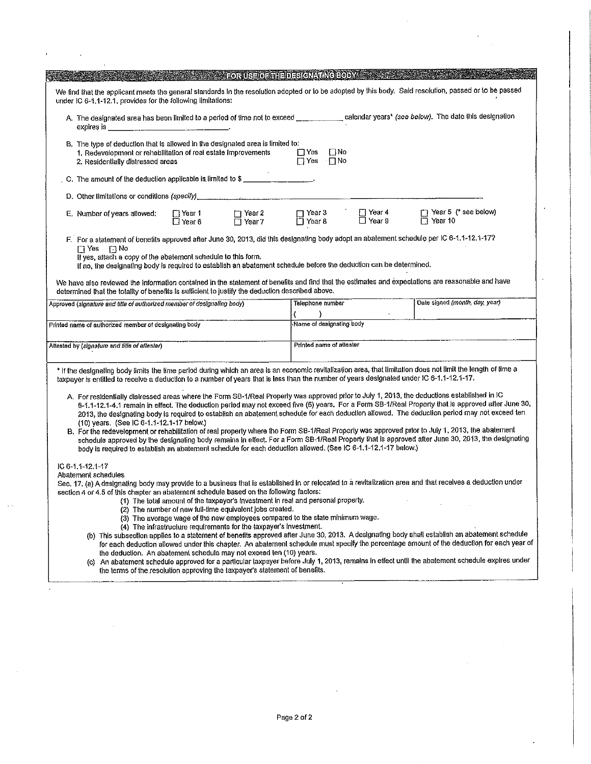|                                           |                                                                                                                                                                                                                                                                                                                                  |                           | FORUS FOR THE DESIGNATIVE FOR A                                                                                                                                                                                 |                                                    |                           |                                                                                                                                                                                                                                                                                                                                                                                                                                                                                                                                                                                                                                                                                                                                                                                                                                                                                                                             |
|-------------------------------------------|----------------------------------------------------------------------------------------------------------------------------------------------------------------------------------------------------------------------------------------------------------------------------------------------------------------------------------|---------------------------|-----------------------------------------------------------------------------------------------------------------------------------------------------------------------------------------------------------------|----------------------------------------------------|---------------------------|-----------------------------------------------------------------------------------------------------------------------------------------------------------------------------------------------------------------------------------------------------------------------------------------------------------------------------------------------------------------------------------------------------------------------------------------------------------------------------------------------------------------------------------------------------------------------------------------------------------------------------------------------------------------------------------------------------------------------------------------------------------------------------------------------------------------------------------------------------------------------------------------------------------------------------|
|                                           | under IC 6-1, 1-12.1, provides for the following limitations:                                                                                                                                                                                                                                                                    |                           |                                                                                                                                                                                                                 |                                                    |                           | We find that the applicant meets the general standards in the resolution adopted or to be adopted by this body. Said resolution, passed or to be passed                                                                                                                                                                                                                                                                                                                                                                                                                                                                                                                                                                                                                                                                                                                                                                     |
|                                           | expies is                                                                                                                                                                                                                                                                                                                        |                           |                                                                                                                                                                                                                 |                                                    |                           | A. The designated area has been limited to a period of time not to exceed _______________ calendar years* (see below). The date this designation                                                                                                                                                                                                                                                                                                                                                                                                                                                                                                                                                                                                                                                                                                                                                                            |
|                                           | B. The type of deduction that is allowed in the designated area is limited to:<br>1. Redevelopment or rehabilitation of real estate improvements<br>2. Residentially distressed areas                                                                                                                                            |                           |                                                                                                                                                                                                                 | $\square$ No<br>$\Box$ Yes<br>$\Box$ Yes $\Box$ No |                           |                                                                                                                                                                                                                                                                                                                                                                                                                                                                                                                                                                                                                                                                                                                                                                                                                                                                                                                             |
|                                           | C. The amount of the deduction applicable is limited to \$                                                                                                                                                                                                                                                                       |                           |                                                                                                                                                                                                                 |                                                    |                           |                                                                                                                                                                                                                                                                                                                                                                                                                                                                                                                                                                                                                                                                                                                                                                                                                                                                                                                             |
|                                           |                                                                                                                                                                                                                                                                                                                                  |                           |                                                                                                                                                                                                                 |                                                    |                           |                                                                                                                                                                                                                                                                                                                                                                                                                                                                                                                                                                                                                                                                                                                                                                                                                                                                                                                             |
|                                           | E. Number of years allowed:                                                                                                                                                                                                                                                                                                      | □ Year 1<br>$\Box$ Year 6 | $\Box$ Year 2<br>$\overline{\Box}$ Year 7                                                                                                                                                                       | $\Box$ Year 3<br>□ Year 8                          | ⊡ Year 4<br>$\Box$ Year 9 | T Year 5 (* see below)<br>$\Box$ Year 10                                                                                                                                                                                                                                                                                                                                                                                                                                                                                                                                                                                                                                                                                                                                                                                                                                                                                    |
|                                           | $\Box$ Yes $\Box$ No<br>If yes, attach a copy of the abatement schedule to this form.<br>If no, the designating body is required to establish an abatement schedule before the deduction can be determined.<br>determined that the totality of benefits is sufficient to justify the deduction described above,                  |                           |                                                                                                                                                                                                                 |                                                    |                           | F. For a statement of benefits approved after June 30, 2013, did this designating body adopt an abatement schedule per IC 6-1.1-12.1-17?<br>We have also reviewed the information contained in the statement of benefits and find that the estimates and expectations are reasonable and have                                                                                                                                                                                                                                                                                                                                                                                                                                                                                                                                                                                                                               |
|                                           | Approved (signature and title of authorized member of designating body)                                                                                                                                                                                                                                                          |                           |                                                                                                                                                                                                                 | Telephone number                                   |                           | Date signed (month, day, year)                                                                                                                                                                                                                                                                                                                                                                                                                                                                                                                                                                                                                                                                                                                                                                                                                                                                                              |
|                                           | Printed name of authorized member of designating body                                                                                                                                                                                                                                                                            |                           |                                                                                                                                                                                                                 | Name of designating body                           |                           |                                                                                                                                                                                                                                                                                                                                                                                                                                                                                                                                                                                                                                                                                                                                                                                                                                                                                                                             |
|                                           |                                                                                                                                                                                                                                                                                                                                  |                           |                                                                                                                                                                                                                 | Printed name of attester                           |                           |                                                                                                                                                                                                                                                                                                                                                                                                                                                                                                                                                                                                                                                                                                                                                                                                                                                                                                                             |
|                                           | Attested by (signature and title of aftester)                                                                                                                                                                                                                                                                                    |                           |                                                                                                                                                                                                                 |                                                    |                           |                                                                                                                                                                                                                                                                                                                                                                                                                                                                                                                                                                                                                                                                                                                                                                                                                                                                                                                             |
|                                           | taxpayer is entitled to recelve a deduction to a number of years that is less than the number of years designated under IC 6-1.1-12.1-17.<br>(10) years. (See IC 6-1.1-12.1-17 below.)<br>body is required to establish an abatement schedule for each deduction allowed, (See IC 6-1.1-12.1-17 below.)                          |                           |                                                                                                                                                                                                                 |                                                    |                           | * If the designating body limits the time period during which an area is an economic revitalization area, that limitation does not limit the length of lime a<br>A. For residentially distressed areas where the Form SB-1/Real Property was approved prior to July 1, 2013, the deductions established in IC<br>6-1.1-12.1-4.1 remain in effect. The deduction period may not exceed five (5) years. For a Form SB-1/Real Property that is approved after June 30,<br>2013, the designating body is required to establish an abatement schedule for each deduction allowed. The deduction period may not exceed ten<br>B. For the redevelopment or rehabilitation of real property where the Form SB-1/Real Property was approved prior to July 1, 2013, the abatement<br>schedule approved by the designating body remains in effect. For a Form SB-1/Real Property that is approved after June 30, 2013, the designating |
| IC 6-1, 1-12, 1-17<br>Abatement schedules | section 4 or 4.5 of this chapter an abatement schedule based on the following factors:<br>(1) The total amount of the taxpayer's investment in real and personal property.<br>the deduction. An abatement schedule may not exceed ten (10) years.<br>the terms of the resolution approving the taxpayer's statement of benefits. |                           | (2) The number of new full-time equivalent jobs created.<br>(3) The average wage of the new employees compared to the state minimum wage.<br>(4) The infrastructure requirements for the taxpayer's investment. |                                                    |                           | Sec. 17. (a) A designating body may provide to a business that is established in or relocated to a revitalization area and that recelves a deduction under<br>(b) This subsection applies to a statement of benefits approved after June 30, 2013. A designating body shall establish an abatement schedule<br>for each deduction allowed under this chapter. An abatement schedule must specify the percentage amount of the deduction for each year of<br>(c) An abatement schedule approved for a particular taxpayer before July 1, 2013, remains in effect until the abatement schedule expires under                                                                                                                                                                                                                                                                                                                  |

 $\hat{\mathcal{A}}$  $\mathbf{r}$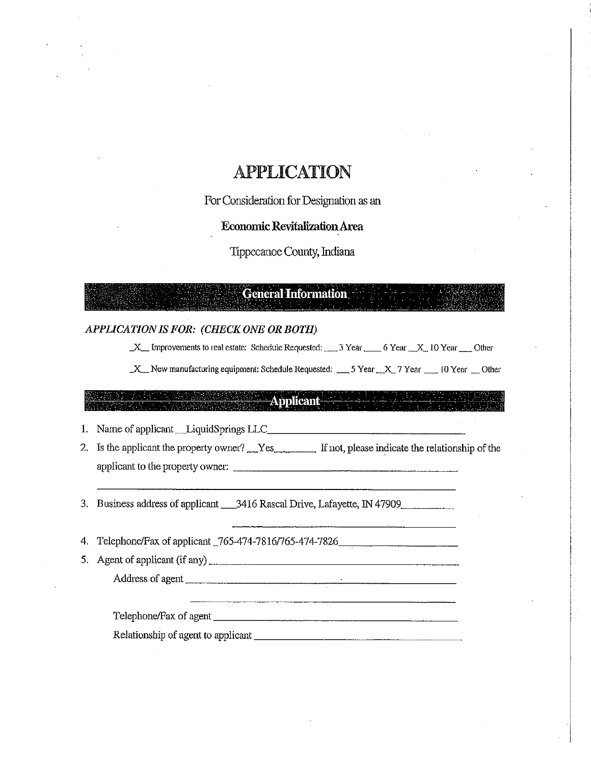# **APPLICATION**

For Consideration for Designation as an

Economic RevitalizationArea

Tippecanoe County, Indiana

## **General Information**

#### APPLICATIONIS FOR: (CHECK ONE OR BOTH)

 $X$  Improvements to real estate: Schedule Requested:  $3$  Year  $6$  Year  $X$  10 Year  $C$  Other

 $X$  New manufacturing equipment: Schedule Requested: \_\_5 Year  $X$  7 Year  $\Box$  10 Year  $\Box$  Other

### **Applicant**

1. Name of applicant HLiquidSprings LLC

2. Is the applicant the property owner? Wes Fig. 1. If not, please indicate the relationship of the applicant to the prcpetty owner:

3. Business address of applicant \_\_3416 Rascal Drive, Lafayette, IN 47909

4. Telephone/Fax of applicant \_765-474-7816/765-474-7826\_\_\_\_\_\_\_\_\_\_\_\_\_\_\_\_\_\_\_\_\_\_\_\_

5. Agent of applicant (if any)

Address of agent

TelephonelFax of agent

Relationship of agent to applicant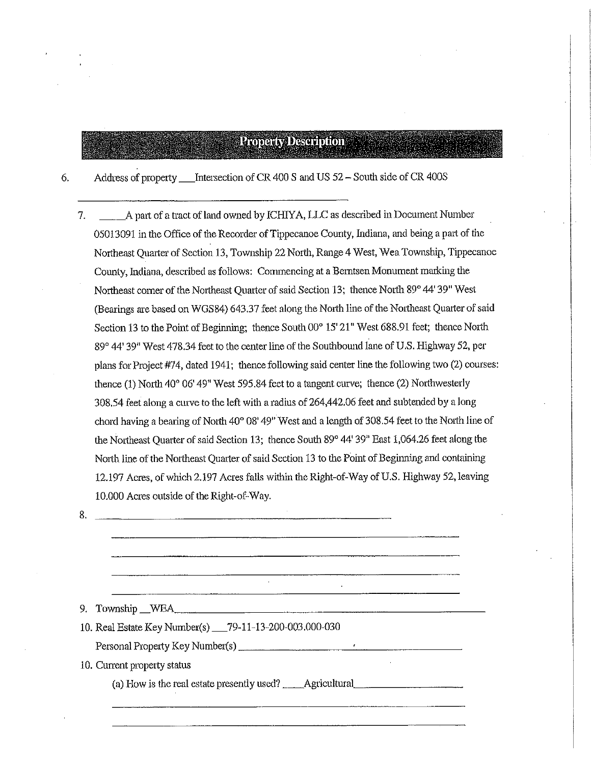# **Property Description**

Address of property \_\_\_Intersection of CR 400 S and US 52 - South side of CR 400S 6.

\_\_\_Apart of <sup>a</sup> tract of land owned by ICHIYA, LLC as described in Docrnnent Number \_  $7.$ 05013091 in the Office of the Recorder of Tippecanoe County, Indiana, and being <sup>a</sup> part of the Northeast Quarter of Section 13, Township <sup>22</sup> North, Range <sup>4</sup> West, Wee Township, Tippecanoe County, Indiana, described as follows: Commencing at a Berntsen Monument marking the Northeast comer of the Northeast Quarter of said Section 13; thence North 89° 44' 39" West (Bearings are based on WGS84) 643.37 feet along the North line of the Nottheast Quarter of said Section <sup>13</sup> to the Point of Beginning; thence South 00° 15' 21" West 688.91 feet; thence North 89° 44' 39" West 478.34 feet to the center line of the Southbound lane of U.S. Highway 52, per plans for Project #74, dated 1941; thence following said center line the following two (2) courses: thence (1) North 40° 06' 49" West 595.84 feet to <sup>a</sup> tangent curve; thence (2) Northwesterly 308.54 feet along a curve to the left with a radius of 264,442.06 feet and subtended by a long chord having a bearing of North  $40^{\circ}$  08'  $49^{\circ}$  West and a length of 308.54 feet to the North line of the Northeast Quarter of said Section 13; thence South 89" 44' 39" East 1,064.26 feet along the North line of the Northeast Quarter of said Section 13 to the Point of Beginning and containing 12.19? Acres, of which 2.19? Acres falls within the Right-of~Way of US. Highway 52, leaving 10.000 Acres outside of the Right-of-Way.

| ×<br>I |  |
|--------|--|
|        |  |
|        |  |

9. Township WEA

10. Real Estate Key Number(s) \_\_79-11-13-200-003.000-030

Personal Property Key Number(s)

10. Current property status

(a) How is the real estate presently used? \_\_\_\_Agricultural

 $\mathbb{R}^2$ 

 $\frac{1}{2}$  . The contract of the contract of  $\frac{1}{2}$  ,  $\frac{1}{2}$  ,  $\frac{1}{2}$  ,  $\frac{1}{2}$  ,  $\frac{1}{2}$  ,  $\frac{1}{2}$  ,  $\frac{1}{2}$  ,  $\frac{1}{2}$  ,  $\frac{1}{2}$  ,  $\frac{1}{2}$  ,  $\frac{1}{2}$  ,  $\frac{1}{2}$  ,  $\frac{1}{2}$  ,  $\frac{1}{2}$  ,  $\frac{1}{2}$ 

 $\mathcal{L}^{\mathcal{L}}$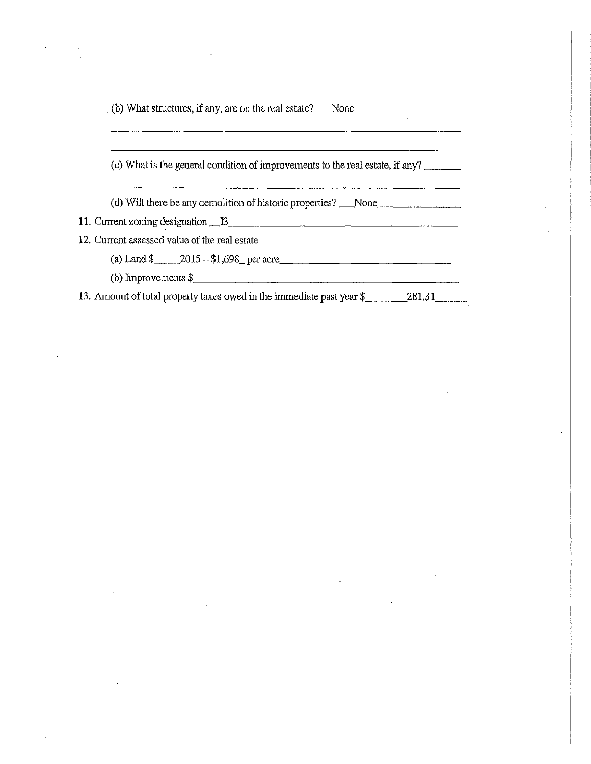| $($ (b) What structures, if any, are on the real estate? None                                         |
|-------------------------------------------------------------------------------------------------------|
|                                                                                                       |
| (c) What is the general condition of improvements to the real estate, if any?                         |
| (d) Will there be any demolition of historic properties? None                                         |
| 11. Current zoning designation 13                                                                     |
| 12. Current assessed value of the real estate                                                         |
| (a) Land $\frac{1}{2}$ 2015 - \$1,698 per acre                                                        |
| (b) Improvements $\frac{1}{2}$                                                                        |
| 13. Amount of total property taxes owed in the immediate past year \$________________________________ |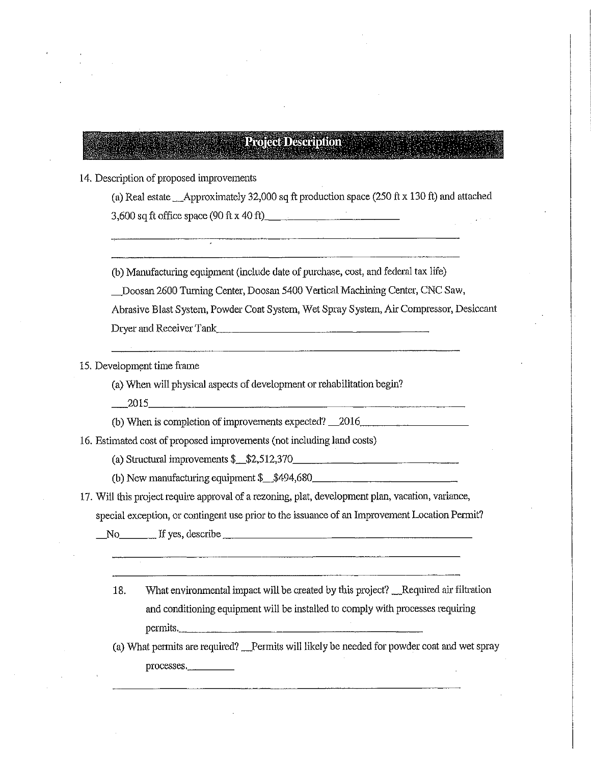## **Project Description**

14. Description of proposed improvements

(a) Real estate  $\_\$ Approximately 32,000 sq ft production space (250 ft x 130 ft) and attached  $3,600$  sq ft office space (90 ft x 40 ft)  $\frac{1}{2}$ 

(b) Manufacturing equipment (include date of purchase, cost, and federal tax life)

\_Doosan 2600 Turning Center, Doosan 5400 Vertical Machining Center, CNC Saw,

Abrasive Blast System, Powder Coat System, Wet Spray System, Air Compressor, Desiccant Dryer and Receiver Tank

15. Deveiopment time frame

(a) When will physical aspects of development or rehabilitation begin?

\_\_\_\_2015

(b) When is completion of improvements expected?  $\_\_2016$ 

16. Estimated cost of proposed improvements (not including land costs)

(a) Structural improvements \$\_\_\$?.,512,3'70

(b) New manufacturing equipment \$\_\_\$494,680

17. Will this project require approval of <sup>a</sup> rezoning, plat, development plan, vacation, variance,

special exception, or contingent use prior to the issuance of an Improvement Location Permit?

No If yes, describe

18. What environmental impact will be created by this project? Required air filtration and conditioning equipment will be installed to comply with processes requiring permits, '

(a) What permits are required? Permits will likely be needed for powder coat and wet spray processes.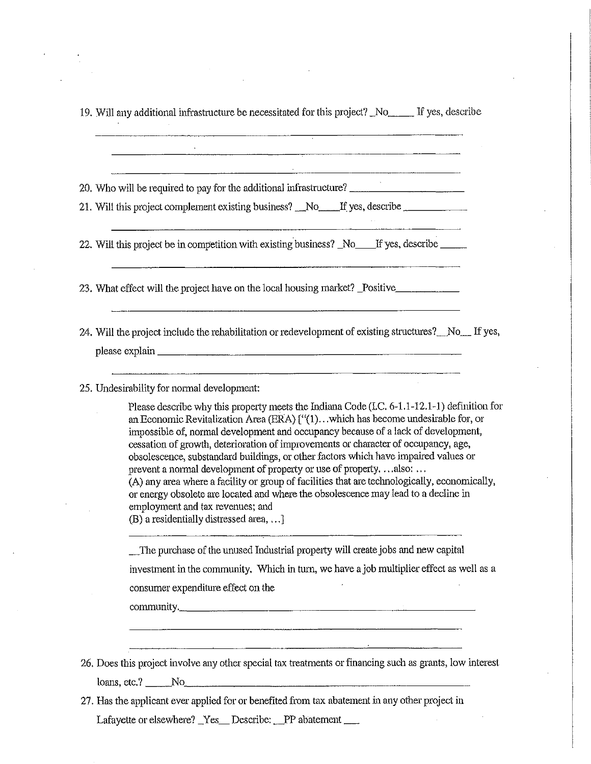| 20. Who will be required to pay for the additional infrastructure? _________________________________                                                                                                                                                                                                                                                                                                                                                                                                                                                                                                                                                                                                                                                                                     |
|------------------------------------------------------------------------------------------------------------------------------------------------------------------------------------------------------------------------------------------------------------------------------------------------------------------------------------------------------------------------------------------------------------------------------------------------------------------------------------------------------------------------------------------------------------------------------------------------------------------------------------------------------------------------------------------------------------------------------------------------------------------------------------------|
| 21. Will this project complement existing business? No figures, describe                                                                                                                                                                                                                                                                                                                                                                                                                                                                                                                                                                                                                                                                                                                 |
| 22. Will this project be in competition with existing business? No ff yes, describe                                                                                                                                                                                                                                                                                                                                                                                                                                                                                                                                                                                                                                                                                                      |
| 23. What effect will the project have on the local housing market? Positive<br><u> 1980 - Jacques Maria (j. 1980).</u>                                                                                                                                                                                                                                                                                                                                                                                                                                                                                                                                                                                                                                                                   |
| 24. Will the project include the rehabilitation or redevelopment of existing structures? No Figures,                                                                                                                                                                                                                                                                                                                                                                                                                                                                                                                                                                                                                                                                                     |
|                                                                                                                                                                                                                                                                                                                                                                                                                                                                                                                                                                                                                                                                                                                                                                                          |
| <u> Andreas Andreas Andreas Andreas Andreas Andreas Andreas Andreas Andreas Andreas Andreas Andreas Andreas Andr</u>                                                                                                                                                                                                                                                                                                                                                                                                                                                                                                                                                                                                                                                                     |
| 25. Undesirability for normal development:                                                                                                                                                                                                                                                                                                                                                                                                                                                                                                                                                                                                                                                                                                                                               |
| Please describe why this property meets the Indiana Code (I.C. 6-1.1-12.1-1) definition for<br>an Economic Revitalization Area (ERA) ["(1)which has become undesirable for, or<br>impossible of, normal development and occupancy because of a lack of development,<br>cessation of growth, deterioration of improvements or character of occupancy, age,<br>obsolescence, substandard buildings, or other factors which have impaired values or<br>prevent a normal development of property or use of propertyalso:<br>(A) any area where a facility or group of facilities that are technologically, economically,<br>or energy obsolete are located and where the obsolescence may lead to a decline in<br>employment and tax revenues; and<br>(B) a residentially distressed area, ] |
| The purchase of the unused Industrial property will create jobs and new capital                                                                                                                                                                                                                                                                                                                                                                                                                                                                                                                                                                                                                                                                                                          |
| investment in the community. Which in turn, we have a job multiplier effect as well as a                                                                                                                                                                                                                                                                                                                                                                                                                                                                                                                                                                                                                                                                                                 |
| consumer expenditure effect on the                                                                                                                                                                                                                                                                                                                                                                                                                                                                                                                                                                                                                                                                                                                                                       |
| community.                                                                                                                                                                                                                                                                                                                                                                                                                                                                                                                                                                                                                                                                                                                                                                               |
|                                                                                                                                                                                                                                                                                                                                                                                                                                                                                                                                                                                                                                                                                                                                                                                          |
| 26. Does this project involve any other special tax treatments or financing such as grants, low interest                                                                                                                                                                                                                                                                                                                                                                                                                                                                                                                                                                                                                                                                                 |

 $\sim$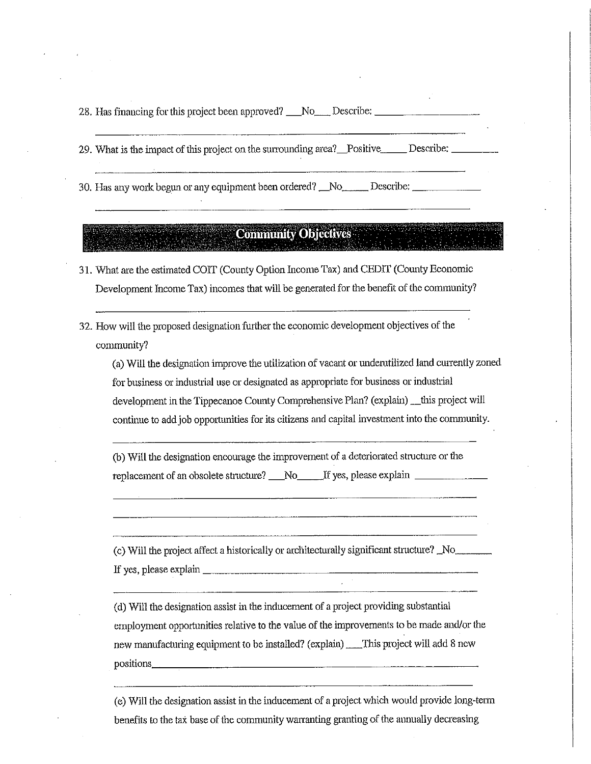28. Has financing for this project been approved? No, Describe: No, Reserved: 28. Has financing for this project been approved? No

29. What is the impact of this project on the surrounding area? Positive Describe:

30. Has any work begun or any equipment been ordered? No Describe:

#### **Community Objectives** an an t-ainm ann an co-ainm an an an an a

- 31. What are the estimated COIT (County Option income Tax) and CEDIT (County Economic Development Income Tax) incomes that will be generated for the benefit of the community?
- 32. How will the proposed designation further the economic development objectives of the community?

(a) Will the designation improve the utilization of vacant or underutilized land currently zoned for business or industrial use or designated as appropriate for business or industrial development in the Tippecanoe County Comprehensive Plan? (explain) \_\_this project will continue to addjoh opportunities for its citizens and capital investment into the community.

(b) Will the designation encourage the improvement of <sup>a</sup> deteriorated structure or the replacement of an obsolete structure? No If yes, please explain

(c) Will the project affect a historically or architecturally significant structure?  $\text{No}$ If yes, please explain

(d) Will the designation assist in the inducement of <sup>a</sup> project providing substantial employment opportunities relative to the value of the improvements to be made and/or the new manufacturing equipment to be installed? (explain) This project will add 8 new positions

(e) Will the designation assist in the inducement of a project which would provide long-term benefits to the tax base of the community warranting granting of the annually decreasing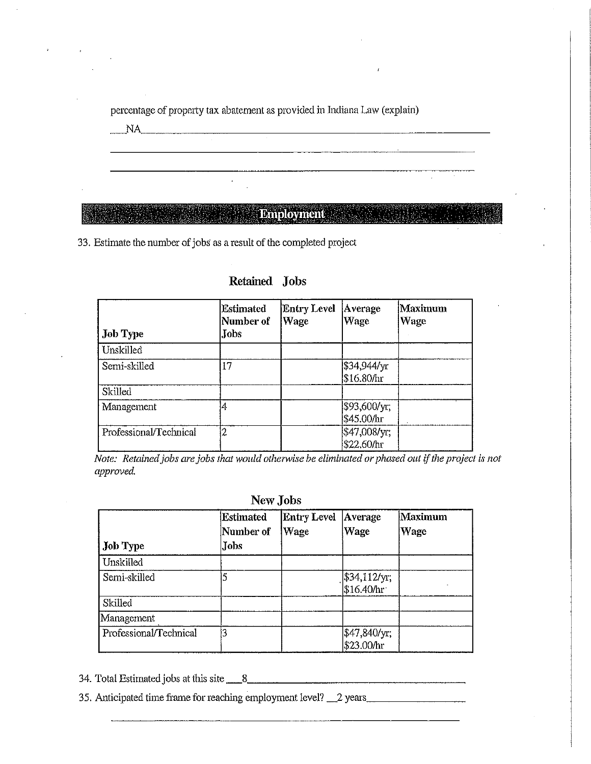percentage of property tax abatement as provided in Indiana Law (explain) NA NA CONSTITUCIÓN EN EL CONSTITUCIÓN DE LA CONSTITUCIÓN DE LA CONSTITUCIÓN DE LA CONSTITUCIÓN DE LA CONSTITUCIÓN DE LA CONSTITUCIÓN DE LA CONSTITUCIÓN DE LA CONSTITUCIÓN DE LA CONSTITUCIÓN DE LA CONSTITUCIÓN DE LA CONSTIT

## **Employment**

33. Estimate the number of jobs as a result of the completed project

| <b>Job Type</b>        | <b>Estimated</b><br>Number of<br>Jobs | <b>Entry Level</b><br>Wage | Average<br>Wage             | Maximum<br><b>Wage</b> |
|------------------------|---------------------------------------|----------------------------|-----------------------------|------------------------|
| Unskilled              |                                       |                            |                             |                        |
| Semi-skilled           | 17                                    |                            | \$34,944/yr<br>\$16.80/hr   |                        |
| Skilled                |                                       |                            |                             |                        |
| Management             | 4                                     |                            | \$93,600/yr;<br> \$45.00/hr |                        |
| Professional/Technical | 2                                     |                            | \$47,008/yr;<br>\$22.60/hr  |                        |

### Retained Jobs

Note: Retained jobs are jobs that would otherwise be eliminated or phased out if the project is not approved.

#### New Jobs

| <b>Job Type</b>        | Estimated<br>Number of<br><b>Jobs</b> | <b>Entry Level</b><br>Wage | Average<br>Wage                                                                                | Maximum<br>Wage |
|------------------------|---------------------------------------|----------------------------|------------------------------------------------------------------------------------------------|-----------------|
| Unskilled              |                                       |                            |                                                                                                |                 |
| Semi-skilled           |                                       |                            | $\begin{array}{c} \n\frac{1}{3}34,112/\text{yr};\\ \n\frac{1}{5}16.40/\text{hr} \n\end{array}$ |                 |
| Skilled                |                                       |                            |                                                                                                |                 |
| Management             |                                       |                            |                                                                                                |                 |
| Professional/Technical |                                       |                            | \$47,840/yr;<br>\$23.00/hr                                                                     |                 |

34. Total Estimatedjobs at this site \_\_\_\_\_\_,8

35. Anticipated time frame for reaching employment level? 2 years